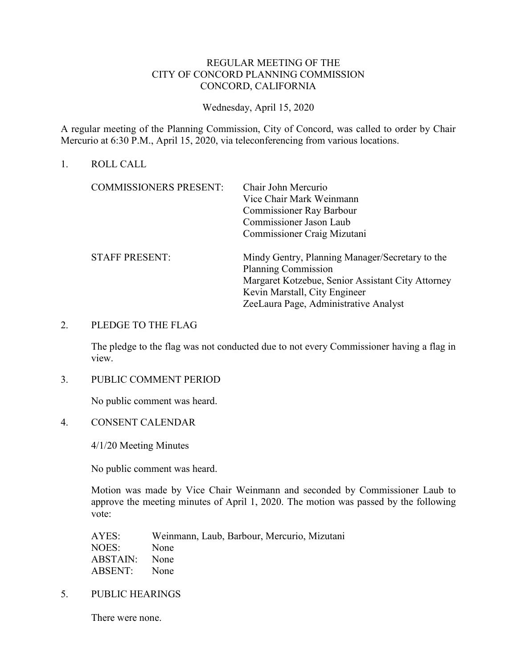## REGULAR MEETING OF THE CITY OF CONCORD PLANNING COMMISSION CONCORD, CALIFORNIA

Wednesday, April 15, 2020

A regular meeting of the Planning Commission, City of Concord, was called to order by Chair Mercurio at 6:30 P.M., April 15, 2020, via teleconferencing from various locations.

### 1. ROLL CALL

| <b>COMMISSIONERS PRESENT:</b> | Chair John Mercurio                               |
|-------------------------------|---------------------------------------------------|
|                               | Vice Chair Mark Weinmann                          |
|                               | <b>Commissioner Ray Barbour</b>                   |
|                               | <b>Commissioner Jason Laub</b>                    |
|                               | Commissioner Craig Mizutani                       |
| <b>STAFF PRESENT:</b>         | Mindy Gentry, Planning Manager/Secretary to the   |
|                               | <b>Planning Commission</b>                        |
|                               | Margaret Kotzebue, Senior Assistant City Attorney |
|                               | Kevin Marstall, City Engineer                     |
|                               | ZeeLaura Page, Administrative Analyst             |
|                               |                                                   |

### 2. PLEDGE TO THE FLAG

The pledge to the flag was not conducted due to not every Commissioner having a flag in view.

#### 3. PUBLIC COMMENT PERIOD

No public comment was heard.

4. CONSENT CALENDAR

4/1/20 Meeting Minutes

No public comment was heard.

Motion was made by Vice Chair Weinmann and seconded by Commissioner Laub to approve the meeting minutes of April 1, 2020. The motion was passed by the following vote:

| Weinmann, Laub, Barbour, Mercurio, Mizutani |
|---------------------------------------------|
| None                                        |
| ABSTAIN: None                               |
| ABSENT: None                                |
|                                             |

5. PUBLIC HEARINGS

There were none.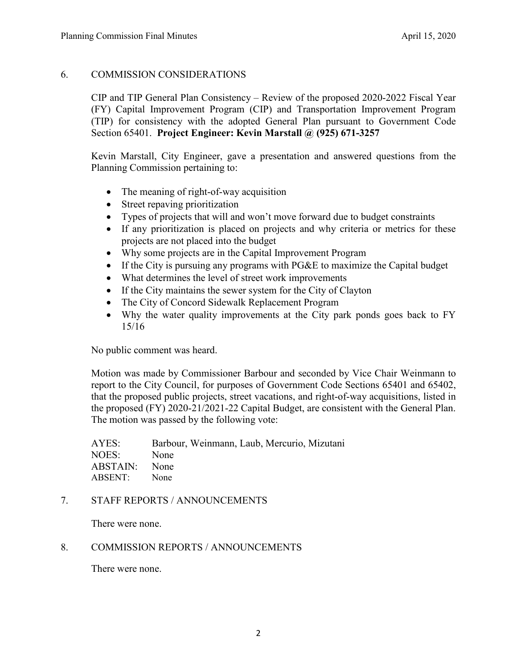# 6. COMMISSION CONSIDERATIONS

CIP and TIP General Plan Consistency – Review of the proposed 2020-2022 Fiscal Year (FY) Capital Improvement Program (CIP) and Transportation Improvement Program (TIP) for consistency with the adopted General Plan pursuant to Government Code Section 65401. **Project Engineer: Kevin Marstall @ (925) 671-3257**

Kevin Marstall, City Engineer, gave a presentation and answered questions from the Planning Commission pertaining to:

- The meaning of right-of-way acquisition
- Street repaving prioritization
- Types of projects that will and won't move forward due to budget constraints
- If any prioritization is placed on projects and why criteria or metrics for these projects are not placed into the budget
- Why some projects are in the Capital Improvement Program
- If the City is pursuing any programs with PG&E to maximize the Capital budget
- What determines the level of street work improvements
- If the City maintains the sewer system for the City of Clayton
- The City of Concord Sidewalk Replacement Program
- Why the water quality improvements at the City park ponds goes back to FY 15/16

No public comment was heard.

Motion was made by Commissioner Barbour and seconded by Vice Chair Weinmann to report to the City Council, for purposes of Government Code Sections 65401 and 65402, that the proposed public projects, street vacations, and right-of-way acquisitions, listed in the proposed (FY) 2020-21/2021-22 Capital Budget, are consistent with the General Plan. The motion was passed by the following vote:

AYES: Barbour, Weinmann, Laub, Mercurio, Mizutani NOES: None ABSTAIN: None ABSENT: None

## 7. STAFF REPORTS / ANNOUNCEMENTS

There were none.

## 8. COMMISSION REPORTS / ANNOUNCEMENTS

There were none.